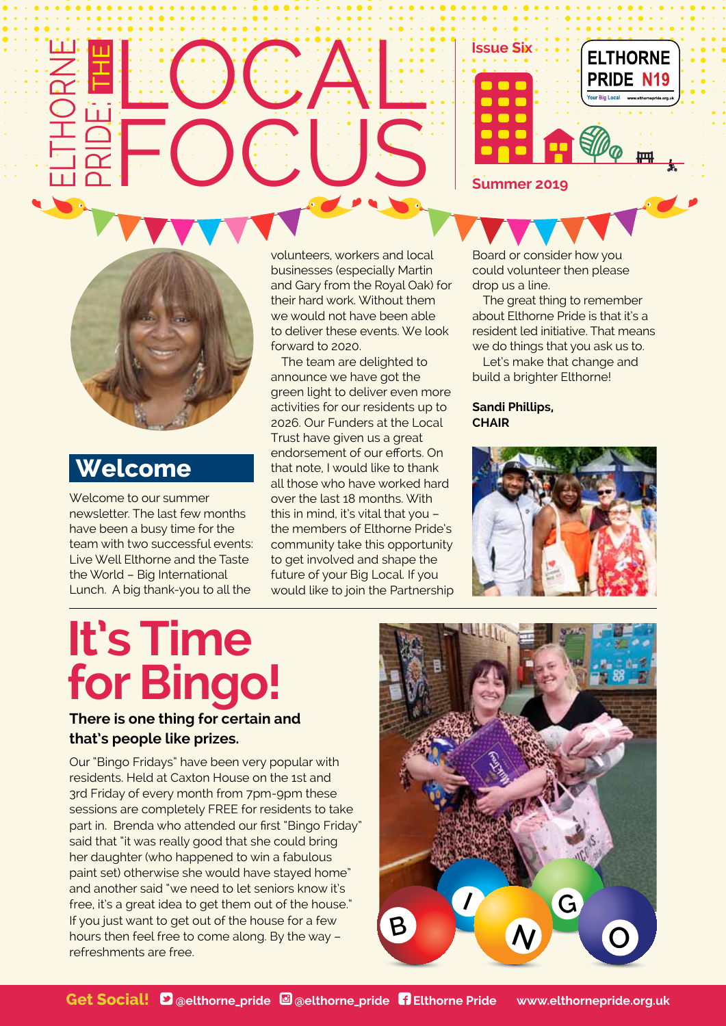#### LOCA lt<br>Li **FOCUS**  $\boldsymbol{Z}$ <u>lill</u> R<br>P  $\bigcirc$ e: The





## **Welcome**

Welcome to our summer newsletter. The last few months have been a busy time for the team with two successful events: Live Well Elthorne and the Taste the World – Big International Lunch. A big thank-you to all the

volunteers, workers and local businesses (especially Martin and Gary from the Royal Oak) for their hard work. Without them we would not have been able to deliver these events. We look forward to 2020.

The team are delighted to announce we have got the green light to deliver even more activities for our residents up to 2026. Our Funders at the Local Trust have given us a great endorsement of our efforts. On that note, I would like to thank all those who have worked hard over the last 18 months. With this in mind, it's vital that you – the members of Elthorne Pride's community take this opportunity to get involved and shape the future of your Big Local. If you would like to join the Partnership Board or consider how you could volunteer then please drop us a line.

The great thing to remember about Elthorne Pride is that it's a resident led initiative. That means we do things that you ask us to.

Let's make that change and build a brighter Elthorne!

**Sandi Phillips, CHAIR**



# **It's Time for Bingo!**

#### **There is one thing for certain and that's people like prizes.**

Our "Bingo Fridays" have been very popular with residents. Held at Caxton House on the 1st and 3rd Friday of every month from 7pm-9pm these sessions are completely FREE for residents to take part in. Brenda who attended our first "Bingo Friday" said that "it was really good that she could bring her daughter (who happened to win a fabulous paint set) otherwise she would have stayed home" and another said "we need to let seniors know it's free, it's a great idea to get them out of the house." If you just want to get out of the house for a few hours then feel free to come along. By the way – refreshments are free.

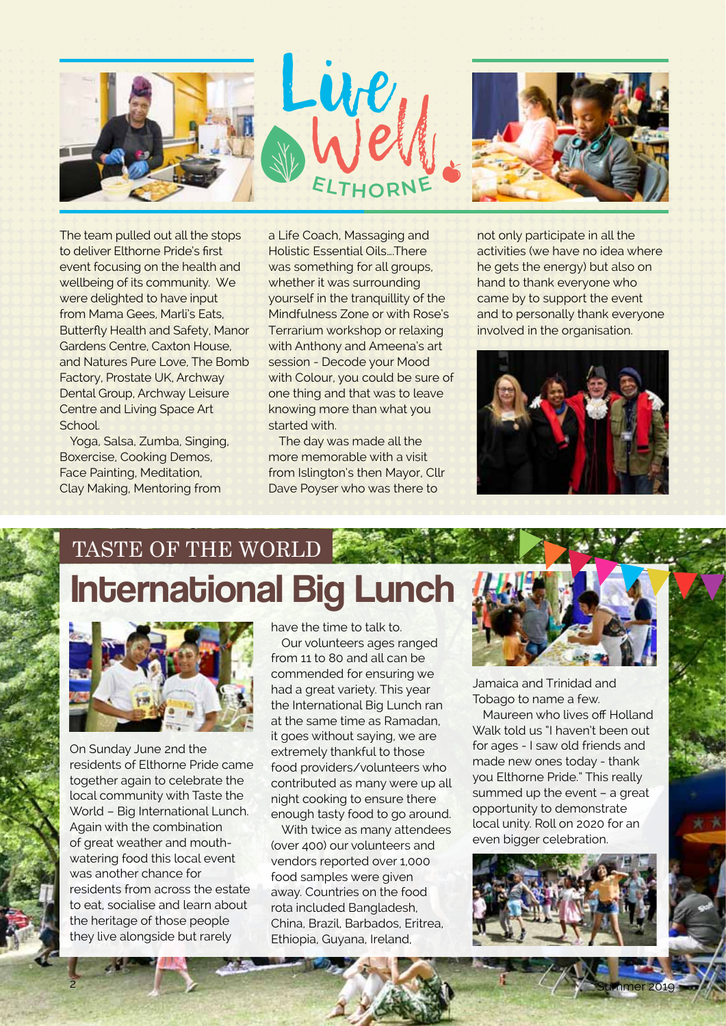



The team pulled out all the stops to deliver Elthorne Pride's first event focusing on the health and wellbeing of its community. We were delighted to have input from Mama Gees, Marli's Eats, Butterfly Health and Safety, Manor Gardens Centre, Caxton House, and Natures Pure Love, The Bomb Factory, Prostate UK, Archway Dental Group, Archway Leisure Centre and Living Space Art School.

Yoga, Salsa, Zumba, Singing, Boxercise, Cooking Demos, Face Painting, Meditation, Clay Making, Mentoring from

a Life Coach, Massaging and Holistic Essential Oils….There was something for all groups, whether it was surrounding yourself in the tranquillity of the Mindfulness Zone or with Rose's Terrarium workshop or relaxing with Anthony and Ameena's art session - Decode your Mood with Colour, you could be sure of one thing and that was to leave knowing more than what you started with.

The day was made all the more memorable with a visit from Islington's then Mayor, Cllr Dave Poyser who was there to

not only participate in all the activities (we have no idea where he gets the energy) but also on hand to thank everyone who came by to support the event and to personally thank everyone involved in the organisation.



# International Big Lunch TASTE OF THE WORLD



On Sunday June 2nd the residents of Elthorne Pride came together again to celebrate the local community with Taste the World – Big International Lunch. Again with the combination of great weather and mouthwatering food this local event was another chance for residents from across the estate to eat, socialise and learn about the heritage of those people they live alongside but rarely

have the time to talk to.

Our volunteers ages ranged from 11 to 80 and all can be commended for ensuring we had a great variety. This year the International Big Lunch ran at the same time as Ramadan, it goes without saying, we are extremely thankful to those food providers/volunteers who contributed as many were up all night cooking to ensure there enough tasty food to go around.

With twice as many attendees (over 400) our volunteers and vendors reported over 1,000 food samples were given away. Countries on the food rota included Bangladesh, China, Brazil, Barbados, Eritrea, Ethiopia, Guyana, Ireland,



Jamaica and Trinidad and Tobago to name a few.

Maureen who lives off Holland Walk told us "I haven't been out for ages - I saw old friends and made new ones today - thank you Elthorne Pride." This really summed up the event – a great opportunity to demonstrate local unity. Roll on 2020 for an even bigger celebration.



2 Summer 2019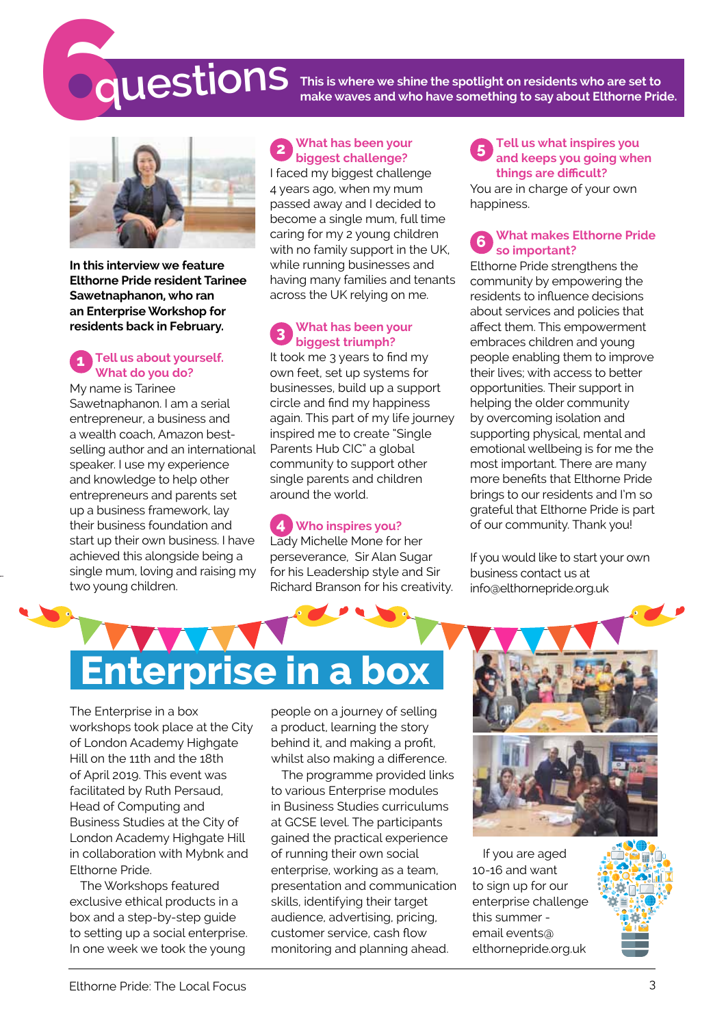# 6**questions**

**This is where we shine the spotlight on residents who are set to make waves and who have something to say about Elthorne Pride.**



**In this interview we feature Elthorne Pride resident Tarinee Sawetnaphanon, who ran an Enterprise Workshop for residents back in February.** 

#### **1 Tell us about yourself. What do you do?**

My name is Tarinee Sawetnaphanon. I am a serial entrepreneur, a business and a wealth coach, Amazon bestselling author and an international speaker. I use my experience and knowledge to help other entrepreneurs and parents set up a business framework, lay their business foundation and start up their own business. I have achieved this alongside being a single mum, loving and raising my two young children.

#### **2 What has been your biggest challenge?**

I faced my biggest challenge 4 years ago, when my mum passed away and I decided to become a single mum, full time caring for my 2 young children with no family support in the UK, while running businesses and having many families and tenants across the UK relying on me.

#### **3 What has been your biggest triumph?**

It took me 3 years to find my own feet, set up systems for businesses, build up a support circle and find my happiness again. This part of my life journey inspired me to create "Single Parents Hub CIC" a global community to support other single parents and children around the world.

**4 Who inspires you?** Lady Michelle Mone for her perseverance, Sir Alan Sugar for his Leadership style and Sir Richard Branson for his creativity.

#### **5 Tell us what inspires you and keeps you going when things are difficult?** You are in charge of your own happiness.

#### **6 What makes Elthorne Pride so important?**

Elthorne Pride strengthens the community by empowering the residents to influence decisions about services and policies that affect them. This empowerment embraces children and young people enabling them to improve their lives; with access to better opportunities. Their support in helping the older community by overcoming isolation and supporting physical, mental and emotional wellbeing is for me the most important. There are many more benefits that Elthorne Pride brings to our residents and I'm so grateful that Elthorne Pride is part of our community. Thank you!

If you would like to start your own business contact us at [info@elthornepride.org.uk](mailto:info@elthornepride.org.uk) 

# **Enterprise in a**

The Enterprise in a box workshops took place at the City of London Academy Highgate Hill on the 11th and the 18th of April 2019. This event was facilitated by Ruth Persaud, Head of Computing and Business Studies at the City of London Academy Highgate Hill in collaboration with Mybnk and Elthorne Pride.

The Workshops featured exclusive ethical products in a box and a step-by-step guide to setting up a social enterprise. In one week we took the young

people on a journey of selling a product, learning the story behind it, and making a profit, whilst also making a difference.

The programme provided links to various Enterprise modules in Business Studies curriculums at GCSE level. The participants gained the practical experience of running their own social enterprise, working as a team, presentation and communication skills, identifying their target audience, advertising, pricing, customer service, cash flow monitoring and planning ahead.



If you are aged 10-16 and want to sign up for our enterprise challenge this summer email [events@](msilto:events@elthornepride.org.uk) [elthornepride.org.uk](msilto:events@elthornepride.org.uk)